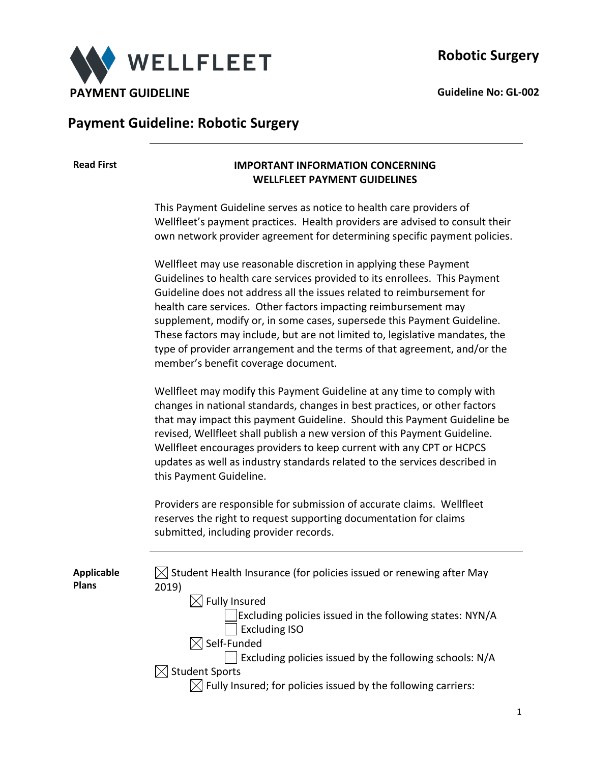

## **Payment Guideline: Robotic Surgery**

### **Read First IMPORTANT INFORMATION CONCERNING WELLFLEET PAYMENT GUIDELINES**

This Payment Guideline serves as notice to health care providers of Wellfleet's payment practices. Health providers are advised to consult their own network provider agreement for determining specific payment policies.

Wellfleet may use reasonable discretion in applying these Payment Guidelines to health care services provided to its enrollees. This Payment Guideline does not address all the issues related to reimbursement for health care services. Other factors impacting reimbursement may supplement, modify or, in some cases, supersede this Payment Guideline. These factors may include, but are not limited to, legislative mandates, the type of provider arrangement and the terms of that agreement, and/or the member's benefit coverage document.

Wellfleet may modify this Payment Guideline at any time to comply with changes in national standards, changes in best practices, or other factors that may impact this payment Guideline. Should this Payment Guideline be revised, Wellfleet shall publish a new version of this Payment Guideline. Wellfleet encourages providers to keep current with any CPT or HCPCS updates as well as industry standards related to the services described in this Payment Guideline.

Providers are responsible for submission of accurate claims. Wellfleet reserves the right to request supporting documentation for claims submitted, including provider records.

**Applicable Plans**  $\boxtimes$  Student Health Insurance (for policies issued or renewing after May 2019)  $\boxtimes$  Fully Insured Excluding policies issued in the following states: NYN/A Excluding ISO  $\boxtimes$  Self-Funded Excluding policies issued by the following schools: N/A  $\boxtimes$  Student Sports  $\boxtimes$  Fully Insured; for policies issued by the following carriers: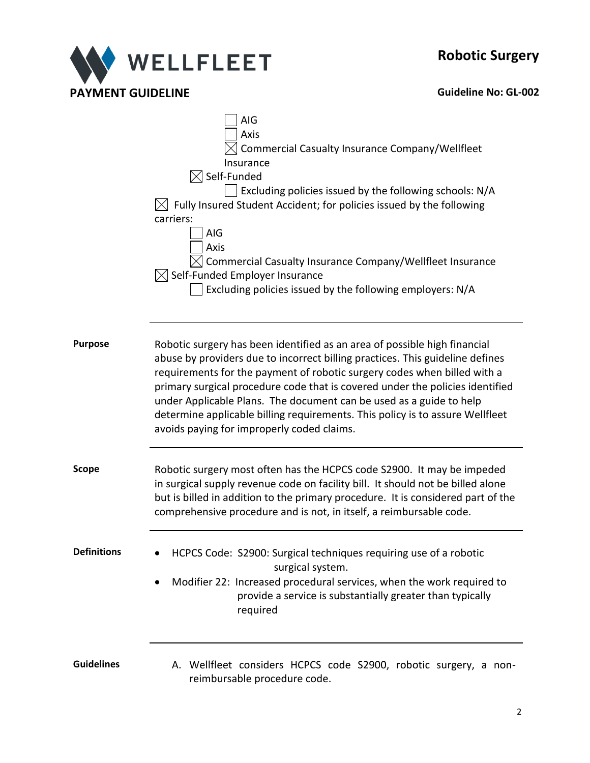# **Robotic Surgery**



|                | AIG<br>Axis<br>Commercial Casualty Insurance Company/Wellfleet<br>Insurance<br>$\triangleleft$ Self-Funded<br>Excluding policies issued by the following schools: N/A<br>$\boxtimes$ Fully Insured Student Accident; for policies issued by the following<br>carriers:<br>AIG<br>Axis<br>Commercial Casualty Insurance Company/Wellfleet Insurance<br>$\boxtimes$ Self-Funded Employer Insurance<br>Excluding policies issued by the following employers: N/A                                                                 |  |  |  |
|----------------|-------------------------------------------------------------------------------------------------------------------------------------------------------------------------------------------------------------------------------------------------------------------------------------------------------------------------------------------------------------------------------------------------------------------------------------------------------------------------------------------------------------------------------|--|--|--|
| <b>Purpose</b> | Robotic surgery has been identified as an area of possible high financial<br>abuse by providers due to incorrect billing practices. This guideline defines<br>requirements for the payment of robotic surgery codes when billed with a<br>primary surgical procedure code that is covered under the policies identified<br>under Applicable Plans. The document can be used as a guide to help<br>determine applicable billing requirements. This policy is to assure Wellfleet<br>avoids paying for improperly coded claims. |  |  |  |
| Scope          | Robotic surgery most often has the HCPCS code S2900. It may be impeded<br>in surgical supply revenue code on facility bill. It should not be billed alone<br>but is billed in addition to the primary procedure. It is considered part of the<br>comprehensive procedure and is not, in itself, a reimbursable code.                                                                                                                                                                                                          |  |  |  |
| Definitions    | HCPCS Code: S2900: Surgical techniques requiring use of a robotic<br>surgical system.<br>Modifier 22: Increased procedural services, when the work required to<br>provide a service is substantially greater than typically<br>required                                                                                                                                                                                                                                                                                       |  |  |  |
| Guidelines     | A. Wellfleet considers HCPCS code S2900, robotic surgery, a non-<br>reimbursable procedure code.                                                                                                                                                                                                                                                                                                                                                                                                                              |  |  |  |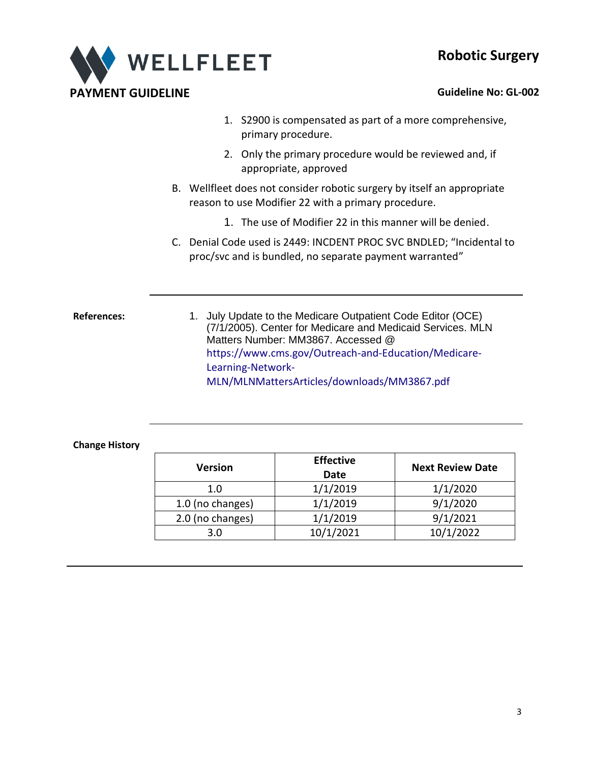## **Robotic Surgery**



- 1. S2900 is compensated as part of a more comprehensive, primary procedure.
- 2. Only the primary procedure would be reviewed and, if appropriate, approved
- B. Wellfleet does not consider robotic surgery by itself an appropriate reason to use Modifier 22 with a primary procedure.
	- 1. The use of Modifier 22 in this manner will be denied.
- C. Denial Code used is 2449: INCDENT PROC SVC BNDLED; "Incidental to proc/svc and is bundled, no separate payment warranted"

References: 1. July Update to the Medicare Outpatient Code Editor (OCE) (7/1/2005). Center for Medicare and Medicaid Services. MLN Matters Number: MM3867. Accessed @ [https://www.cms.gov/Outreach-and-Education/Medicare-](https://www.cms.gov/Outreach-and-Education/Medicare-Learning-Network-MLN/MLNMattersArticles/downloads/MM3867.pdf)[Learning-Network-](https://www.cms.gov/Outreach-and-Education/Medicare-Learning-Network-MLN/MLNMattersArticles/downloads/MM3867.pdf)[MLN/MLNMattersArticles/downloads/MM3867.pdf](https://www.cms.gov/Outreach-and-Education/Medicare-Learning-Network-MLN/MLNMattersArticles/downloads/MM3867.pdf)

### **Change History**

| Version          | <b>Effective</b><br><b>Date</b> | <b>Next Review Date</b> |
|------------------|---------------------------------|-------------------------|
| 1.0              | 1/1/2019                        | 1/1/2020                |
| 1.0 (no changes) | 1/1/2019                        | 9/1/2020                |
| 2.0 (no changes) | 1/1/2019                        | 9/1/2021                |
| 3.0              | 10/1/2021                       | 10/1/2022               |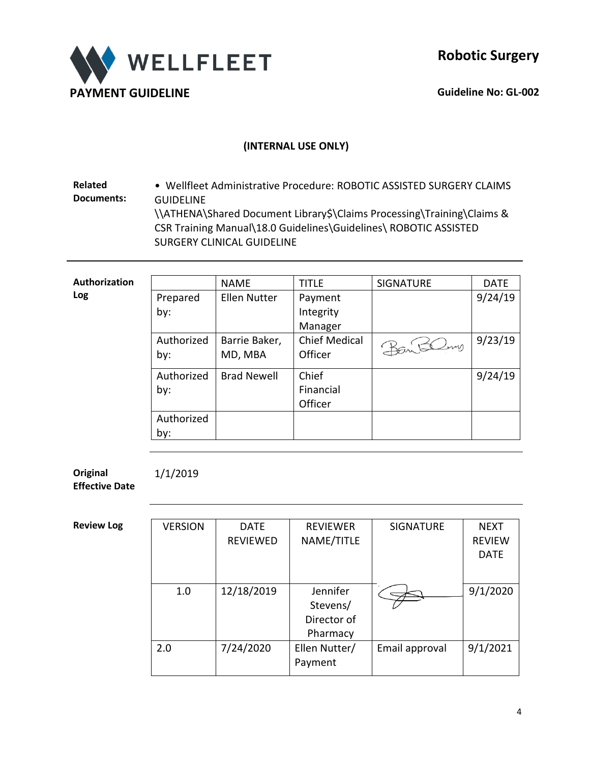

## **(INTERNAL USE ONLY)**

**Related Documents:** • Wellfleet Administrative Procedure: ROBOTIC ASSISTED SURGERY CLAIMS GUIDELINE \\ATHENA\Shared Document Library\$\Claims Processing\Training\Claims & CSR Training Manual\18.0 Guidelines\Guidelines\ ROBOTIC ASSISTED SURGERY CLINICAL GUIDELINE

| Authorization |            | <b>NAME</b>         | <b>TITLE</b>         | <b>SIGNATURE</b> | <b>DATE</b> |
|---------------|------------|---------------------|----------------------|------------------|-------------|
| Log           | Prepared   | <b>Ellen Nutter</b> | Payment              |                  | 9/24/19     |
|               | by:        |                     | Integrity            |                  |             |
|               |            |                     | Manager              |                  |             |
|               | Authorized | Barrie Baker,       | <b>Chief Medical</b> | Bantling         | 9/23/19     |
|               | by:        | MD, MBA             | Officer              |                  |             |
|               | Authorized | <b>Brad Newell</b>  | Chief                |                  | 9/24/19     |
|               | by:        |                     | Financial            |                  |             |
|               |            |                     | Officer              |                  |             |
|               | Authorized |                     |                      |                  |             |
|               | by:        |                     |                      |                  |             |

**Original Effective Date**

1/1/2019

**Review Log** 

| <b>VERSION</b> | <b>DATE</b>     | <b>REVIEWER</b> | <b>SIGNATURE</b> | <b>NEXT</b>   |
|----------------|-----------------|-----------------|------------------|---------------|
|                | <b>REVIEWED</b> | NAME/TITLE      |                  | <b>REVIEW</b> |
|                |                 |                 |                  | <b>DATE</b>   |
|                |                 |                 |                  |               |
|                |                 |                 |                  |               |
| 1.0            | 12/18/2019      | Jennifer        |                  | 9/1/2020      |
|                |                 | Stevens/        |                  |               |
|                |                 | Director of     |                  |               |
|                |                 | Pharmacy        |                  |               |
| 2.0            | 7/24/2020       | Ellen Nutter/   | Email approval   | 9/1/2021      |
|                |                 | Payment         |                  |               |
|                |                 |                 |                  |               |